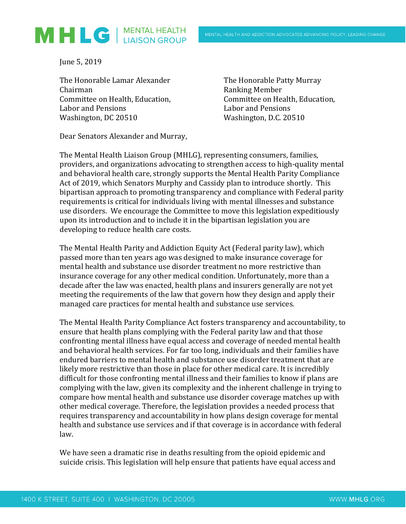

June 5, 2019

The Honorable Lamar Alexander The Honorable Patty Murray Chairman **Ranking Member** Committee on Health, Education, Committee on Health, Education, Labor and Pensions Labor and Pensions Washington, DC 20510 Washington, D.C. 20510

Dear Senators Alexander and Murray,

The Mental Health Liaison Group (MHLG), representing consumers, families, providers, and organizations advocating to strengthen access to high-quality mental and behavioral health care, strongly supports the Mental Health Parity Compliance Act of 2019, which Senators Murphy and Cassidy plan to introduce shortly. This bipartisan approach to promoting transparency and compliance with Federal parity requirements is critical for individuals living with mental illnesses and substance use disorders. We encourage the Committee to move this legislation expeditiously upon its introduction and to include it in the bipartisan legislation you are developing to reduce health care costs.

The Mental Health Parity and Addiction Equity Act (Federal parity law), which passed more than ten years ago was designed to make insurance coverage for mental health and substance use disorder treatment no more restrictive than insurance coverage for any other medical condition. Unfortunately, more than a decade after the law was enacted, health plans and insurers generally are not yet meeting the requirements of the law that govern how they design and apply their managed care practices for mental health and substance use services.

The Mental Health Parity Compliance Act fosters transparency and accountability, to ensure that health plans complying with the Federal parity law and that those confronting mental illness have equal access and coverage of needed mental health and behavioral health services. For far too long, individuals and their families have endured barriers to mental health and substance use disorder treatment that are likely more restrictive than those in place for other medical care. It is incredibly difficult for those confronting mental illness and their families to know if plans are complying with the law, given its complexity and the inherent challenge in trying to compare how mental health and substance use disorder coverage matches up with other medical coverage. Therefore, the legislation provides a needed process that requires transparency and accountability in how plans design coverage for mental health and substance use services and if that coverage is in accordance with federal law.

We have seen a dramatic rise in deaths resulting from the opioid epidemic and suicide crisis. This legislation will help ensure that patients have equal access and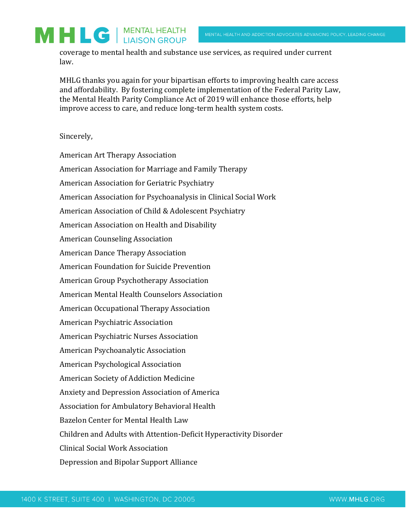coverage to mental health and substance use services, as required under current law.

MHLG thanks you again for your bipartisan efforts to improving health care access and affordability. By fostering complete implementation of the Federal Parity Law, the Mental Health Parity Compliance Act of 2019 will enhance those efforts, help improve access to care, and reduce long-term health system costs.

## Sincerely,

MHLG | MENTAL HEALTH

American Art Therapy Association American Association for Marriage and Family Therapy American Association for Geriatric Psychiatry American Association for Psychoanalysis in Clinical Social Work American Association of Child & Adolescent Psychiatry American Association on Health and Disability American Counseling Association American Dance Therapy Association American Foundation for Suicide Prevention American Group Psychotherapy Association American Mental Health Counselors Association American Occupational Therapy Association American Psychiatric Association American Psychiatric Nurses Association American Psychoanalytic Association American Psychological Association American Society of Addiction Medicine Anxiety and Depression Association of America Association for Ambulatory Behavioral Health Bazelon Center for Mental Health Law Children and Adults with Attention-Deficit Hyperactivity Disorder Clinical Social Work Association Depression and Bipolar Support Alliance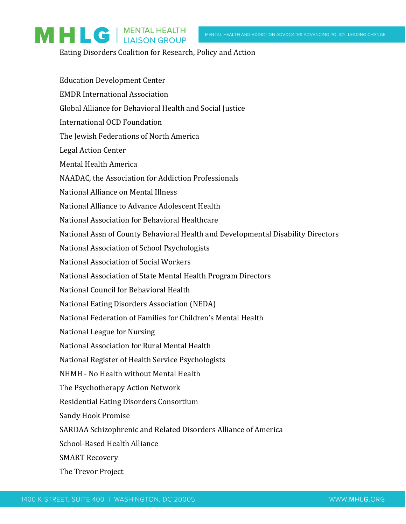Eating Disorders Coalition for Research, Policy and Action

MHLG | MENTAL HEALTH

| <b>Education Development Center</b>                                              |
|----------------------------------------------------------------------------------|
| <b>EMDR International Association</b>                                            |
| Global Alliance for Behavioral Health and Social Justice                         |
| <b>International OCD Foundation</b>                                              |
| The Jewish Federations of North America                                          |
| <b>Legal Action Center</b>                                                       |
| Mental Health America                                                            |
| NAADAC, the Association for Addiction Professionals                              |
| National Alliance on Mental Illness                                              |
| National Alliance to Advance Adolescent Health                                   |
| National Association for Behavioral Healthcare                                   |
| National Assn of County Behavioral Health and Developmental Disability Directors |
| National Association of School Psychologists                                     |
| National Association of Social Workers                                           |
| National Association of State Mental Health Program Directors                    |
| National Council for Behavioral Health                                           |
| National Eating Disorders Association (NEDA)                                     |
| National Federation of Families for Children's Mental Health                     |
| National League for Nursing                                                      |
| National Association for Rural Mental Health                                     |
| National Register of Health Service Psychologists                                |
| NHMH - No Health without Mental Health                                           |
| The Psychotherapy Action Network                                                 |
| Residential Eating Disorders Consortium                                          |
| <b>Sandy Hook Promise</b>                                                        |
| SARDAA Schizophrenic and Related Disorders Alliance of America                   |
| <b>School-Based Health Alliance</b>                                              |
| <b>SMART Recovery</b>                                                            |
| The Trevor Project                                                               |
|                                                                                  |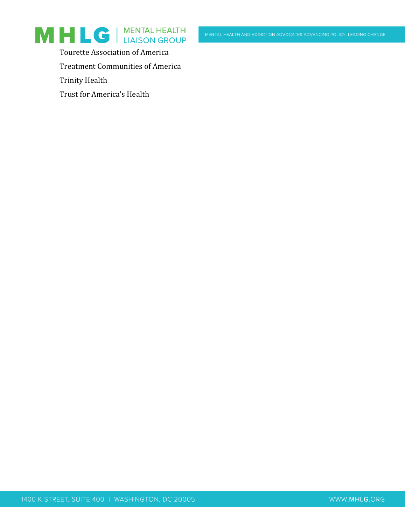



Tourette Association of America

Treatment Communities of America

Trinity Health

Trust for America's Health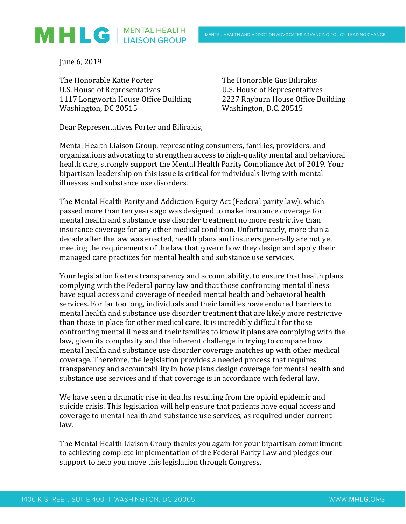

June 6, 2019

The Honorable Katie Porter The Honorable Gus Bilirakis U.S. House of Representatives U.S. House of Representatives 1117 Longworth House Office Building 2227 Rayburn House Office Building Washington, DC 20515 Washington, D.C. 20515

Dear Representatives Porter and Bilirakis,

Mental Health Liaison Group, representing consumers, families, providers, and organizations advocating to strengthen access to high-quality mental and behavioral health care, strongly support the Mental Health Parity Compliance Act of 2019. Your bipartisan leadership on this issue is critical for individuals living with mental illnesses and substance use disorders.

The Mental Health Parity and Addiction Equity Act (Federal parity law), which passed more than ten years ago was designed to make insurance coverage for mental health and substance use disorder treatment no more restrictive than insurance coverage for any other medical condition. Unfortunately, more than a decade after the law was enacted, health plans and insurers generally are not yet meeting the requirements of the law that govern how they design and apply their managed care practices for mental health and substance use services.

Your legislation fosters transparency and accountability, to ensure that health plans complying with the Federal parity law and that those confronting mental illness have equal access and coverage of needed mental health and behavioral health services. For far too long, individuals and their families have endured barriers to mental health and substance use disorder treatment that are likely more restrictive than those in place for other medical care. It is incredibly difficult for those confronting mental illness and their families to know if plans are complying with the law, given its complexity and the inherent challenge in trying to compare how mental health and substance use disorder coverage matches up with other medical coverage. Therefore, the legislation provides a needed process that requires transparency and accountability in how plans design coverage for mental health and substance use services and if that coverage is in accordance with federal law.

We have seen a dramatic rise in deaths resulting from the opioid epidemic and suicide crisis. This legislation will help ensure that patients have equal access and coverage to mental health and substance use services, as required under current law.

The Mental Health Liaison Group thanks you again for your bipartisan commitment to achieving complete implementation of the Federal Parity Law and pledges our support to help you move this legislation through Congress.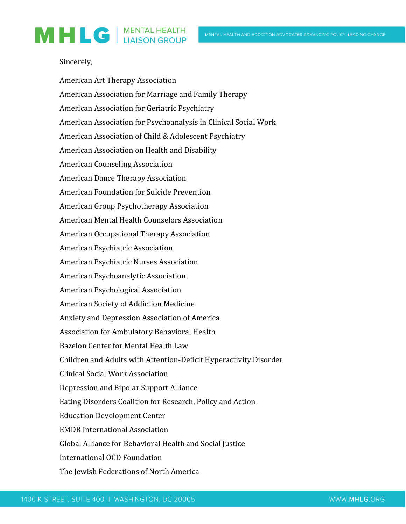## MHLG | MENTAL HEALTH

## Sincerely,

American Art Therapy Association American Association for Marriage and Family Therapy American Association for Geriatric Psychiatry American Association for Psychoanalysis in Clinical Social Work American Association of Child & Adolescent Psychiatry American Association on Health and Disability American Counseling Association American Dance Therapy Association American Foundation for Suicide Prevention American Group Psychotherapy Association American Mental Health Counselors Association American Occupational Therapy Association American Psychiatric Association American Psychiatric Nurses Association American Psychoanalytic Association American Psychological Association American Society of Addiction Medicine Anxiety and Depression Association of America Association for Ambulatory Behavioral Health Bazelon Center for Mental Health Law Children and Adults with Attention-Deficit Hyperactivity Disorder Clinical Social Work Association Depression and Bipolar Support Alliance Eating Disorders Coalition for Research, Policy and Action Education Development Center EMDR International Association Global Alliance for Behavioral Health and Social Justice International OCD Foundation The Jewish Federations of North America